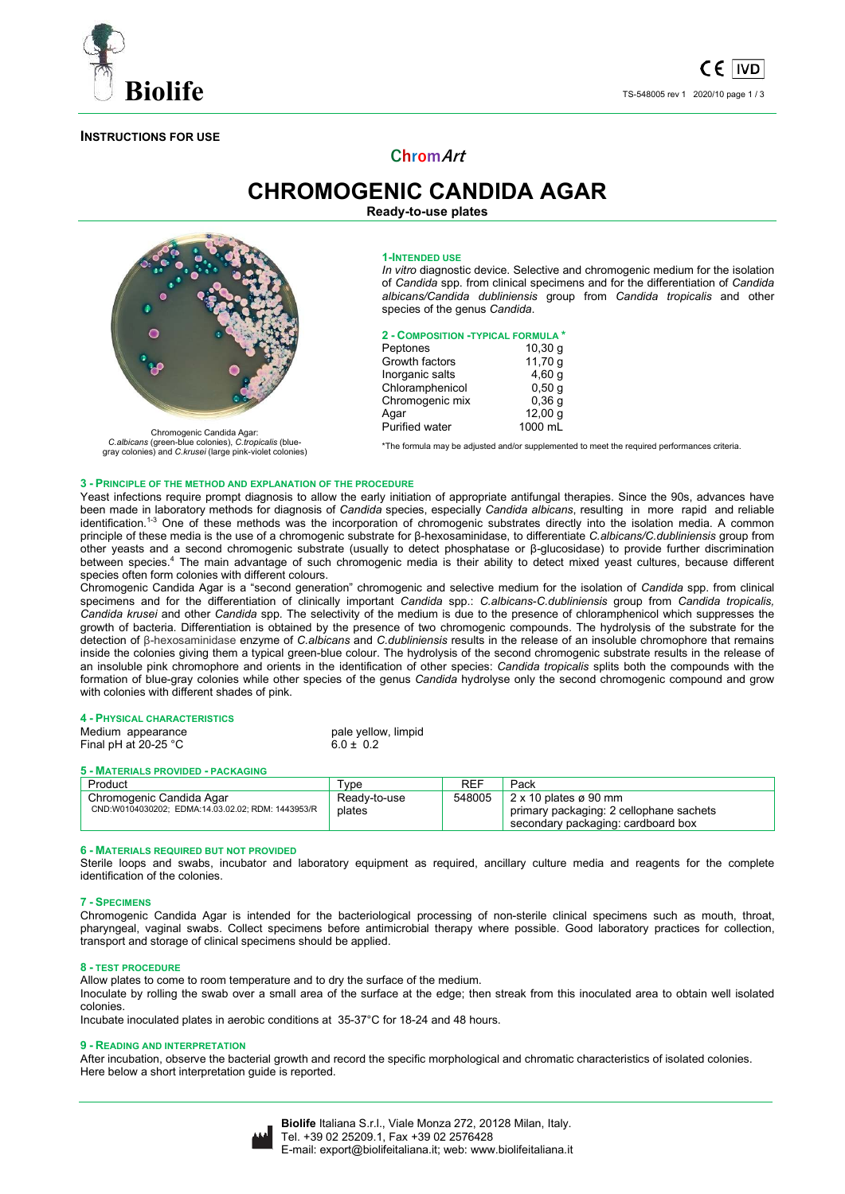

## **INSTRUCTIONS FOR USE**

# **ChromArt**

**CHROMOGENIC CANDIDA AGAR Ready-to-use plates** 

Chromogenic Candida Agar: *C.albicans* (green-blue colonies), *C.tropicalis* (bluegray colonies) and *C.krusei* (large pink-violet colonies)

#### **1-INTENDED USE**

*In vitro* diagnostic device. Selective and chromogenic medium for the isolation of *Candida* spp. from clinical specimens and for the differentiation of *Candida albicans/Candida dubliniensis* group from *Candida tropicalis* and other species of the genus *Candida*.

#### **2 - COMPOSITION -TYPICAL FORMULA \***

| Peptones        | $10,30$ q |
|-----------------|-----------|
| Growth factors  | 11,70 g   |
| Inorganic salts | 4,60q     |
| Chloramphenicol | 0,50q     |
| Chromogenic mix | 0,36q     |
| Agar            | 12,00q    |
| Purified water  | 1000 mL   |
|                 |           |

\*The formula may be adjusted and/or supplemented to meet the required performances criteria.

#### **3 - PRINCIPLE OF THE METHOD AND EXPLANATION OF THE PROCEDURE**

Yeast infections require prompt diagnosis to allow the early initiation of appropriate antifungal therapies. Since the 90s, advances have been made in laboratory methods for diagnosis of *Candida* species, especially *Candida albicans*, resulting in more rapid and reliable identification.<sup>1-3</sup> One of these methods was the incorporation of chromogenic substrates directly into the isolation media. A common principle of these media is the use of a chromogenic substrate for β-hexosaminidase, to differentiate *C.albicans/C.dubliniensis* group from other yeasts and a second chromogenic substrate (usually to detect phosphatase or β-glucosidase) to provide further discrimination between species.<sup>4</sup> The main advantage of such chromogenic media is their ability to detect mixed yeast cultures, because different species often form colonies with different colours.

Chromogenic Candida Agar is a "second generation" chromogenic and selective medium for the isolation of *Candida* spp. from clinical specimens and for the differentiation of clinically important *Candida* spp.: *C.albicans*-*C.dubliniensis* group from *Candida tropicalis, Candida krusei* and other *Candida* spp*.* The selectivity of the medium is due to the presence of chloramphenicol which suppresses the growth of bacteria. Differentiation is obtained by the presence of two chromogenic compounds. The hydrolysis of the substrate for the detection of β-hexosaminidase enzyme of *C.albicans* and *C.dubliniensis* results in the release of an insoluble chromophore that remains inside the colonies giving them a typical green-blue colour. The hydrolysis of the second chromogenic substrate results in the release of an insoluble pink chromophore and orients in the identification of other species: *Candida tropicalis* splits both the compounds with the formation of blue-gray colonies while other species of the genus *Candida* hydrolyse only the second chromogenic compound and grow with colonies with different shades of pink.

#### **4 - PHYSICAL CHARACTERISTICS**

| Medium appearance              | pale yellow, limpid |
|--------------------------------|---------------------|
| Final pH at 20-25 $^{\circ}$ C | $6.0 \pm 0.2$       |
|                                |                     |

#### **5 - MATERIALS PROVIDED - PACKAGING**

| Product                                           | $\tau_\mathsf{VDE}$ | REF    | Pack                                    |
|---------------------------------------------------|---------------------|--------|-----------------------------------------|
| Chromogenic Candida Agar                          | Ready-to-use        | 548005 | $2 \times 10$ plates ø 90 mm            |
| CND:W0104030202; EDMA:14.03.02.02; RDM: 1443953/R | plates              |        | primary packaging: 2 cellophane sachets |
|                                                   |                     |        | secondary packaging: cardboard box      |

#### **6 - MATERIALS REQUIRED BUT NOT PROVIDED**

Sterile loops and swabs, incubator and laboratory equipment as required, ancillary culture media and reagents for the complete identification of the colonies.

#### **7 - SPECIMENS**

Chromogenic Candida Agar is intended for the bacteriological processing of non-sterile clinical specimens such as mouth, throat, pharyngeal, vaginal swabs. Collect specimens before antimicrobial therapy where possible. Good laboratory practices for collection, transport and storage of clinical specimens should be applied.

#### **8 - TEST PROCEDURE**

Allow plates to come to room temperature and to dry the surface of the medium.

Inoculate by rolling the swab over a small area of the surface at the edge; then streak from this inoculated area to obtain well isolated colonies.

Incubate inoculated plates in aerobic conditions at 35-37°C for 18-24 and 48 hours.

#### **9 - READING AND INTERPRETATION**

After incubation, observe the bacterial growth and record the specific morphological and chromatic characteristics of isolated colonies. Here below a short interpretation guide is reported.

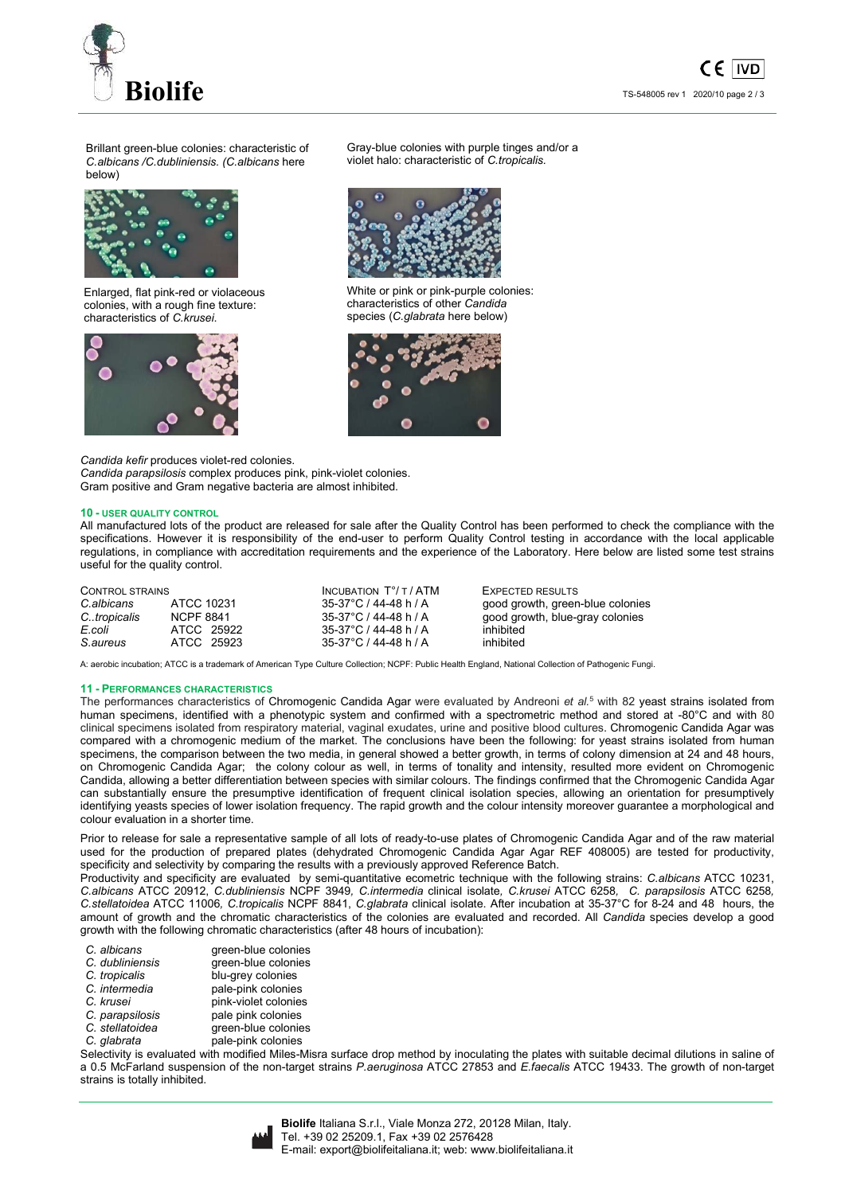

Brillant green-blue colonies: characteristic of *C.albicans /C.dubliniensis. (C.albicans* here below)



Enlarged, flat pink-red or violaceous colonies, with a rough fine texture: characteristics of *C.krusei*.



Gray-blue colonies with purple tinges and/or a violet halo: characteristic of *C.tropicalis.*



White or pink or pink-purple colonies: characteristics of other *Candida* species (*C.glabrata* here below)



*Candida kefir* produces violet-red colonies. *Candida parapsilosis* complex produces pink, pink-violet colonies. Gram positive and Gram negative bacteria are almost inhibited.

### **10 - USER QUALITY CONTROL**

All manufactured lots of the product are released for sale after the Quality Control has been performed to check the compliance with the specifications. However it is responsibility of the end-user to perform Quality Control testing in accordance with the local applicable regulations, in compliance with accreditation requirements and the experience of the Laboratory. Here below are listed some test strains useful for the quality control.

| CONTROL STRAINS |            | INCUBATION $T^{\circ}/T$ / ATM | EXPECTED RESULTS                 |
|-----------------|------------|--------------------------------|----------------------------------|
| C.albicans      | ATCC 10231 | 35-37°C / 44-48 h / A          | good growth, green-blue colonies |
| C.tropicalis    | NCPF 8841  | 35-37°C / 44-48 h / A          | good growth, blue-gray colonies  |
| E.coli          | ATCC 25922 | 35-37°C / 44-48 h / A          | inhibited                        |
| S.aureus        | ATCC 25923 | 35-37°C / 44-48 h / A          | inhibited                        |

A: aerobic incubation; ATCC is a trademark of American Type Culture Collection; NCPF: Public Health England, National Collection of Pathogenic Fungi.

#### **11 - PERFORMANCES CHARACTERISTICS**

The performances characteristics of Chromogenic Candida Agar were evaluated by Andreoni *et al.*<sup>5</sup> with 82 yeast strains isolated from human specimens, identified with a phenotypic system and confirmed with a spectrometric method and stored at -80°C and with 80 clinical specimens isolated from respiratory material, vaginal exudates, urine and positive blood cultures. Chromogenic Candida Agar was compared with a chromogenic medium of the market. The conclusions have been the following: for yeast strains isolated from human specimens, the comparison between the two media, in general showed a better growth, in terms of colony dimension at 24 and 48 hours, on Chromogenic Candida Agar; the colony colour as well, in terms of tonality and intensity, resulted more evident on Chromogenic Candida, allowing a better differentiation between species with similar colours. The findings confirmed that the Chromogenic Candida Agar can substantially ensure the presumptive identification of frequent clinical isolation species, allowing an orientation for presumptively identifying yeasts species of lower isolation frequency. The rapid growth and the colour intensity moreover guarantee a morphological and colour evaluation in a shorter time.

Prior to release for sale a representative sample of all lots of ready-to-use plates of Chromogenic Candida Agar and of the raw material used for the production of prepared plates (dehydrated Chromogenic Candida Agar Agar REF 408005) are tested for productivity, specificity and selectivity by comparing the results with a previously approved Reference Batch.

Productivity and specificity are evaluated by semi-quantitative ecometric technique with the following strains: *C.albicans* ATCC 10231, *C.albicans* ATCC 20912, *C.dubliniensis* NCPF 3949*, C.intermedia* clinical isolate*, C.krusei* ATCC 6258*, C. parapsilosis* ATCC 6258*, C.stellatoidea* ATCC 11006*, C.tropicalis* NCPF 8841, *C.glabrata* clinical isolate. After incubation at 35-37°C for 8-24 and 48 hours, the amount of growth and the chromatic characteristics of the colonies are evaluated and recorded. All *Candida* species develop a good growth with the following chromatic characteristics (after 48 hours of incubation):

| C. albicans | green-blue colonies |
|-------------|---------------------|
|             |                     |

| C. dubliniensis | green-blue co |
|-----------------|---------------|

- 
- 
- 
- 
- 
- 

*C. dubliniensis* green-blue colonies *C. tropicalis* blu-grey colonies *C. intermedia* pale-pink colonies<br> *C. krusei* pink-violet colonies *C. krusei* pink-violet colonies<br> *C. parapsilosis* pale pink colonies *C. parapsilosis* pale pink colonies<br> *C. stellatoidea* green-blue colonie *C. stellatoidea* green-blue colonies *C. glabrata* pale-pink colonies

Selectivity is evaluated with modified Miles-Misra surface drop method by inoculating the plates with suitable decimal dilutions in saline of a 0.5 McFarland suspension of the non-target strains *P.aeruginosa* ATCC 27853 and *E.faecalis* ATCC 19433. The growth of non-target strains is totally inhibited.



**Biolife** Italiana S.r.l., Viale Monza 272, 20128 Milan, Italy. Tel. +39 02 25209.1, Fax +39 02 2576428 E-mail: export@biolifeitaliana.it; web: www.biolifeitaliana.it